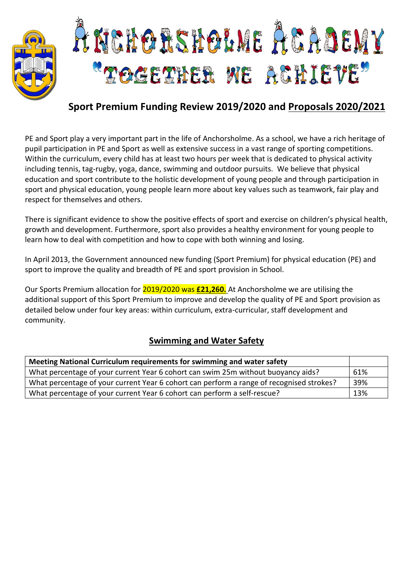

# L NERORSHOLME ACADEMY TOGETHER WE ACHIEVE"

### **Sport Premium Funding Review 2019/2020 and Proposals 2020/2021**

PE and Sport play a very important part in the life of Anchorsholme. As a school, we have a rich heritage of pupil participation in PE and Sport as well as extensive success in a vast range of sporting competitions. Within the curriculum, every child has at least two hours per week that is dedicated to physical activity including tennis, tag-rugby, yoga, dance, swimming and outdoor pursuits. We believe that physical education and sport contribute to the holistic development of young people and through participation in sport and physical education, young people learn more about key values such as teamwork, fair play and respect for themselves and others.

There is significant evidence to show the positive effects of sport and exercise on children's physical health, growth and development. Furthermore, sport also provides a healthy environment for young people to learn how to deal with competition and how to cope with both winning and losing.

In April 2013, the Government announced new funding (Sport Premium) for physical education (PE) and sport to improve the quality and breadth of PE and sport provision in School.

Our Sports Premium allocation for 2019/2020 was **£21,260.** At Anchorsholme we are utilising the additional support of this Sport Premium to improve and develop the quality of PE and Sport provision as detailed below under four key areas: within curriculum, extra-curricular, staff development and community.

#### **Swimming and Water Safety**

| Meeting National Curriculum requirements for swimming and water safety                   |     |
|------------------------------------------------------------------------------------------|-----|
| What percentage of your current Year 6 cohort can swim 25m without buoyancy aids?        | 61% |
| What percentage of your current Year 6 cohort can perform a range of recognised strokes? | 39% |
| What percentage of your current Year 6 cohort can perform a self-rescue?                 | 13% |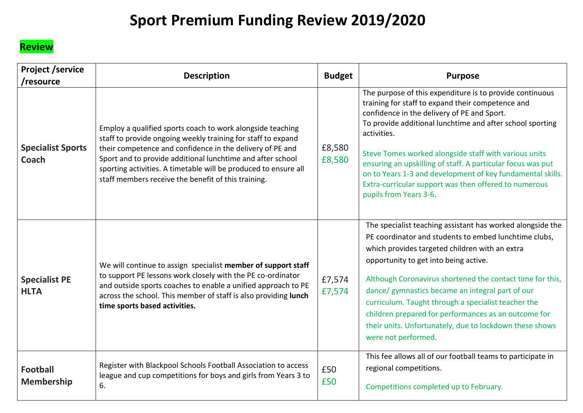## **Sport Premium Funding Review 2019/2020**

### **Review**

| <b>Project /service</b><br>/resource | <b>Description</b>                                                                                                                                                                                                                                                                                                                                                              | <b>Budget</b>    | <b>Purpose</b>                                                                                                                                                                                                                                                                                                                                                                                                                                                                                                                   |
|--------------------------------------|---------------------------------------------------------------------------------------------------------------------------------------------------------------------------------------------------------------------------------------------------------------------------------------------------------------------------------------------------------------------------------|------------------|----------------------------------------------------------------------------------------------------------------------------------------------------------------------------------------------------------------------------------------------------------------------------------------------------------------------------------------------------------------------------------------------------------------------------------------------------------------------------------------------------------------------------------|
| <b>Specialist Sports</b><br>Coach    | Employ a qualified sports coach to work alongside teaching<br>staff to provide ongoing weekly training for staff to expand<br>their competence and confidence in the delivery of PE and<br>Sport and to provide additional lunchtime and after school<br>sporting activities. A timetable will be produced to ensure all<br>staff members receive the benefit of this training. | £8,580<br>£8,580 | The purpose of this expenditure is to provide continuous<br>training for staff to expand their competence and<br>confidence in the delivery of PE and Sport.<br>To provide additional lunchtime and after school sporting<br>activities.<br>Steve Tomes worked alongside staff with various units<br>ensuring an upskilling of staff. A particular focus was put<br>on to Years 1-3 and development of key fundamental skills.<br>Extra-curricular support was then offered to numerous<br>pupils from Years 3-6.                |
| <b>Specialist PE</b><br><b>HLTA</b>  | We will continue to assign specialist member of support staff<br>to support PE lessons work closely with the PE co-ordinator<br>and outside sports coaches to enable a unified approach to PE<br>across the school. This member of staff is also providing lunch<br>time sports based activities.                                                                               | £7,574<br>£7,574 | The specialist teaching assistant has worked alongside the<br>PE coordinator and students to embed lunchtime clubs,<br>which provides targeted children with an extra<br>opportunity to get into being active.<br>Although Coronavirus shortened the contact time for this,<br>dance/ gymnastics became an integral part of our<br>curriculum. Taught through a specialist teacher the<br>children prepared for performances as an outcome for<br>their units. Unfortunately, due to lockdown these shows<br>were not performed. |
| <b>Football</b><br><b>Membership</b> | Register with Blackpool Schools Football Association to access<br>league and cup competitions for boys and girls from Years 3 to<br>6.                                                                                                                                                                                                                                          | £50<br>£50       | This fee allows all of our football teams to participate in<br>regional competitions.<br>Competitions completed up to February.                                                                                                                                                                                                                                                                                                                                                                                                  |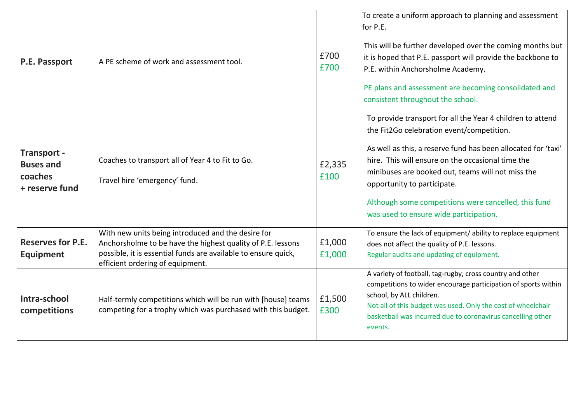| P.E. Passport                                                | A PE scheme of work and assessment tool.                                                                                                                                                                                | £700<br>£700     | To create a uniform approach to planning and assessment<br>for P.E.<br>This will be further developed over the coming months but<br>it is hoped that P.E. passport will provide the backbone to<br>P.E. within Anchorsholme Academy.<br>PE plans and assessment are becoming consolidated and<br>consistent throughout the school.                                                                                  |
|--------------------------------------------------------------|-------------------------------------------------------------------------------------------------------------------------------------------------------------------------------------------------------------------------|------------------|---------------------------------------------------------------------------------------------------------------------------------------------------------------------------------------------------------------------------------------------------------------------------------------------------------------------------------------------------------------------------------------------------------------------|
| Transport -<br><b>Buses and</b><br>coaches<br>+ reserve fund | Coaches to transport all of Year 4 to Fit to Go.<br>Travel hire 'emergency' fund.                                                                                                                                       | £2,335<br>£100   | To provide transport for all the Year 4 children to attend<br>the Fit2Go celebration event/competition.<br>As well as this, a reserve fund has been allocated for 'taxi'<br>hire. This will ensure on the occasional time the<br>minibuses are booked out, teams will not miss the<br>opportunity to participate.<br>Although some competitions were cancelled, this fund<br>was used to ensure wide participation. |
| <b>Reserves for P.E.</b><br><b>Equipment</b>                 | With new units being introduced and the desire for<br>Anchorsholme to be have the highest quality of P.E. lessons<br>possible, it is essential funds are available to ensure quick,<br>efficient ordering of equipment. | £1,000<br>£1,000 | To ensure the lack of equipment/ ability to replace equipment<br>does not affect the quality of P.E. lessons.<br>Regular audits and updating of equipment.                                                                                                                                                                                                                                                          |
| Intra-school<br>competitions                                 | Half-termly competitions which will be run with [house] teams<br>competing for a trophy which was purchased with this budget.                                                                                           | £1,500<br>£300   | A variety of football, tag-rugby, cross country and other<br>competitions to wider encourage participation of sports within<br>school, by ALL children.<br>Not all of this budget was used. Only the cost of wheelchair<br>basketball was incurred due to coronavirus cancelling other<br>events.                                                                                                                   |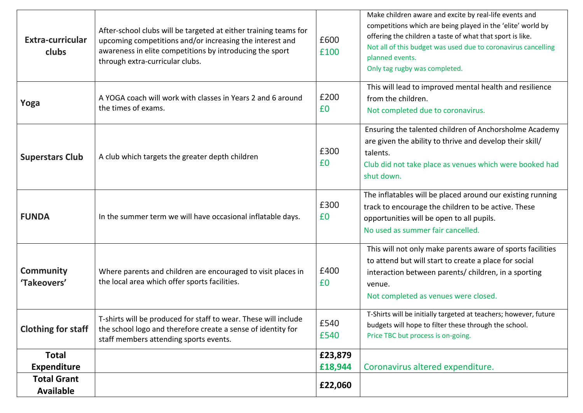| Extra-curricular<br>clubs              | After-school clubs will be targeted at either training teams for<br>upcoming competitions and/or increasing the interest and<br>awareness in elite competitions by introducing the sport<br>through extra-curricular clubs. | £600<br>£100       | Make children aware and excite by real-life events and<br>competitions which are being played in the 'elite' world by<br>offering the children a taste of what that sport is like.<br>Not all of this budget was used due to coronavirus cancelling<br>planned events.<br>Only tag rugby was completed. |
|----------------------------------------|-----------------------------------------------------------------------------------------------------------------------------------------------------------------------------------------------------------------------------|--------------------|---------------------------------------------------------------------------------------------------------------------------------------------------------------------------------------------------------------------------------------------------------------------------------------------------------|
| Yoga                                   | A YOGA coach will work with classes in Years 2 and 6 around<br>the times of exams.                                                                                                                                          | £200<br>£0         | This will lead to improved mental health and resilience<br>from the children.<br>Not completed due to coronavirus.                                                                                                                                                                                      |
| <b>Superstars Club</b>                 | A club which targets the greater depth children                                                                                                                                                                             | £300<br>£0         | Ensuring the talented children of Anchorsholme Academy<br>are given the ability to thrive and develop their skill/<br>talents.<br>Club did not take place as venues which were booked had<br>shut down.                                                                                                 |
| <b>FUNDA</b>                           | In the summer term we will have occasional inflatable days.                                                                                                                                                                 | £300<br>£0         | The inflatables will be placed around our existing running<br>track to encourage the children to be active. These<br>opportunities will be open to all pupils.<br>No used as summer fair cancelled.                                                                                                     |
| <b>Community</b><br>'Takeovers'        | Where parents and children are encouraged to visit places in<br>the local area which offer sports facilities.                                                                                                               | £400<br>£0         | This will not only make parents aware of sports facilities<br>to attend but will start to create a place for social<br>interaction between parents/ children, in a sporting<br>venue.<br>Not completed as venues were closed.                                                                           |
| <b>Clothing for staff</b>              | T-shirts will be produced for staff to wear. These will include<br>the school logo and therefore create a sense of identity for<br>staff members attending sports events.                                                   | £540<br>£540       | T-Shirts will be initially targeted at teachers; however, future<br>budgets will hope to filter these through the school.<br>Price TBC but process is on-going.                                                                                                                                         |
| <b>Total</b><br><b>Expenditure</b>     |                                                                                                                                                                                                                             | £23,879<br>£18,944 | Coronavirus altered expenditure.                                                                                                                                                                                                                                                                        |
| <b>Total Grant</b><br><b>Available</b> |                                                                                                                                                                                                                             | £22,060            |                                                                                                                                                                                                                                                                                                         |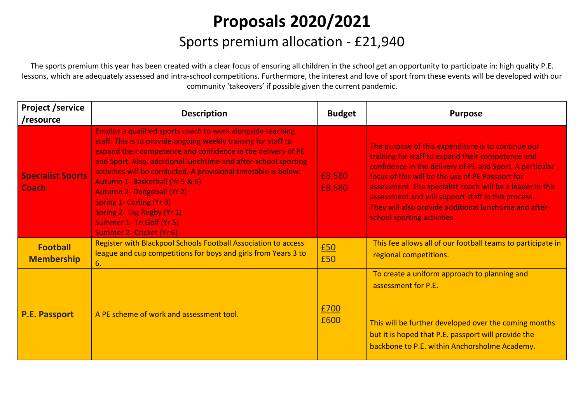# **Proposals 2020/2021** Sports premium allocation - £21,940

The sports premium this year has been created with a clear focus of ensuring all children in the school get an opportunity to participate in: high quality P.E. lessons, which are adequately assessed and intra-school competitions. Furthermore, the interest and love of sport from these events will be developed with our community 'takeovers' if possible given the current pandemic.

| <b>Project /service</b><br>/resource     | <b>Description</b>                                                                                                                                                                                                                                                                                                                                                                                                                                                                                                                          | <b>Budget</b>    | <b>Purpose</b>                                                                                                                                                                                                                                                                                                                                                                                                                     |
|------------------------------------------|---------------------------------------------------------------------------------------------------------------------------------------------------------------------------------------------------------------------------------------------------------------------------------------------------------------------------------------------------------------------------------------------------------------------------------------------------------------------------------------------------------------------------------------------|------------------|------------------------------------------------------------------------------------------------------------------------------------------------------------------------------------------------------------------------------------------------------------------------------------------------------------------------------------------------------------------------------------------------------------------------------------|
| <b>Specialist Sports</b><br><b>Coach</b> | Employ a qualified sports coach to work alongside teaching<br>staff. This is to provide ongoing weekly training for staff to<br>expand their competence and confidence in the delivery of PE<br>and Sport. Also, additional lunchtime and after-school sporting<br>activities will be conducted. A provisional timetable is below:<br>Autumn 1- Basketball (Yr 5 & 6)<br><b>Autumn 2- Dodgeball (Yr 2)</b><br><b>Spring 1- Curling (Yr 3)</b><br><b>Spring 2- Tag Rugby (Yr 1)</b><br>Summer 1- Tri Golf (Yr 5)<br>Summer 2- Cricket (Yr 6) | £8,580<br>£8,580 | The purpose of this expenditure is to continue our<br>training for staff to expand their competence and<br>confidence in the delivery of PE and Sport. A particular<br>focus of this will be the use of PE Passport for<br>assessment. The specialist coach will be a leader in this<br>assessment and will support staff in this process.<br>They will also provide additional lunchtime and after-<br>school sporting activities |
| <b>Football</b><br><b>Membership</b>     | Register with Blackpool Schools Football Association to access<br>league and cup competitions for boys and girls from Years 3 to<br>6.                                                                                                                                                                                                                                                                                                                                                                                                      | £50<br>£50       | This fee allows all of our football teams to participate in<br>regional competitions.                                                                                                                                                                                                                                                                                                                                              |
| <b>P.E. Passport</b>                     | A PE scheme of work and assessment tool.                                                                                                                                                                                                                                                                                                                                                                                                                                                                                                    | £700<br>£600     | To create a uniform approach to planning and<br>assessment for P.E.<br>This will be further developed over the coming months<br>but it is hoped that P.E. passport will provide the<br>backbone to P.E. within Anchorsholme Academy.                                                                                                                                                                                               |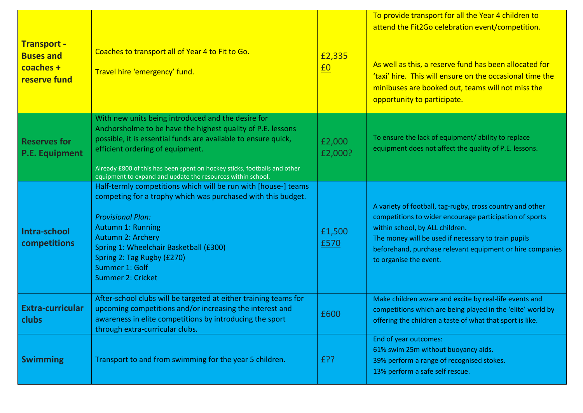| <b>Transport -</b><br><b>Buses and</b><br>coaches +<br>reserve fund | Coaches to transport all of Year 4 to Fit to Go.<br>Travel hire 'emergency' fund.                                                                                                                                                                                                                                                                                   | £2,335<br>$\underline{f0}$ | To provide transport for all the Year 4 children to<br>attend the Fit2Go celebration event/competition.<br>As well as this, a reserve fund has been allocated for<br>'taxi' hire. This will ensure on the occasional time the<br>minibuses are booked out, teams will not miss the<br>opportunity to participate. |
|---------------------------------------------------------------------|---------------------------------------------------------------------------------------------------------------------------------------------------------------------------------------------------------------------------------------------------------------------------------------------------------------------------------------------------------------------|----------------------------|-------------------------------------------------------------------------------------------------------------------------------------------------------------------------------------------------------------------------------------------------------------------------------------------------------------------|
| <b>Reserves for</b><br><b>P.E. Equipment</b>                        | With new units being introduced and the desire for<br>Anchorsholme to be have the highest quality of P.E. lessons<br>possible, it is essential funds are available to ensure quick,<br>efficient ordering of equipment.<br>Already £800 of this has been spent on hockey sticks, footballs and other<br>equipment to expand and update the resources within school. | £2,000<br>£2,000?          | To ensure the lack of equipment/ ability to replace<br>equipment does not affect the quality of P.E. lessons.                                                                                                                                                                                                     |
| Intra-school<br>competitions                                        | Half-termly competitions which will be run with [house-] teams<br>competing for a trophy which was purchased with this budget.<br><b>Provisional Plan:</b><br><b>Autumn 1: Running</b><br>Autumn 2: Archery<br>Spring 1: Wheelchair Basketball (£300)<br>Spring 2: Tag Rugby (£270)<br>Summer 1: Golf<br><b>Summer 2: Cricket</b>                                   | £1,500<br>£570             | A variety of football, tag-rugby, cross country and other<br>competitions to wider encourage participation of sports<br>within school, by ALL children.<br>The money will be used if necessary to train pupils<br>beforehand, purchase relevant equipment or hire companies<br>to organise the event.             |
| <b>Extra-curricular</b><br>clubs                                    | After-school clubs will be targeted at either training teams for<br>upcoming competitions and/or increasing the interest and<br>awareness in elite competitions by introducing the sport<br>through extra-curricular clubs.                                                                                                                                         | £600                       | Make children aware and excite by real-life events and<br>competitions which are being played in the 'elite' world by<br>offering the children a taste of what that sport is like.                                                                                                                                |
| <b>Swimming</b>                                                     | Transport to and from swimming for the year 5 children.                                                                                                                                                                                                                                                                                                             | £??                        | End of year outcomes:<br>61% swim 25m without buoyancy aids.<br>39% perform a range of recognised stokes.<br>13% perform a safe self rescue.                                                                                                                                                                      |